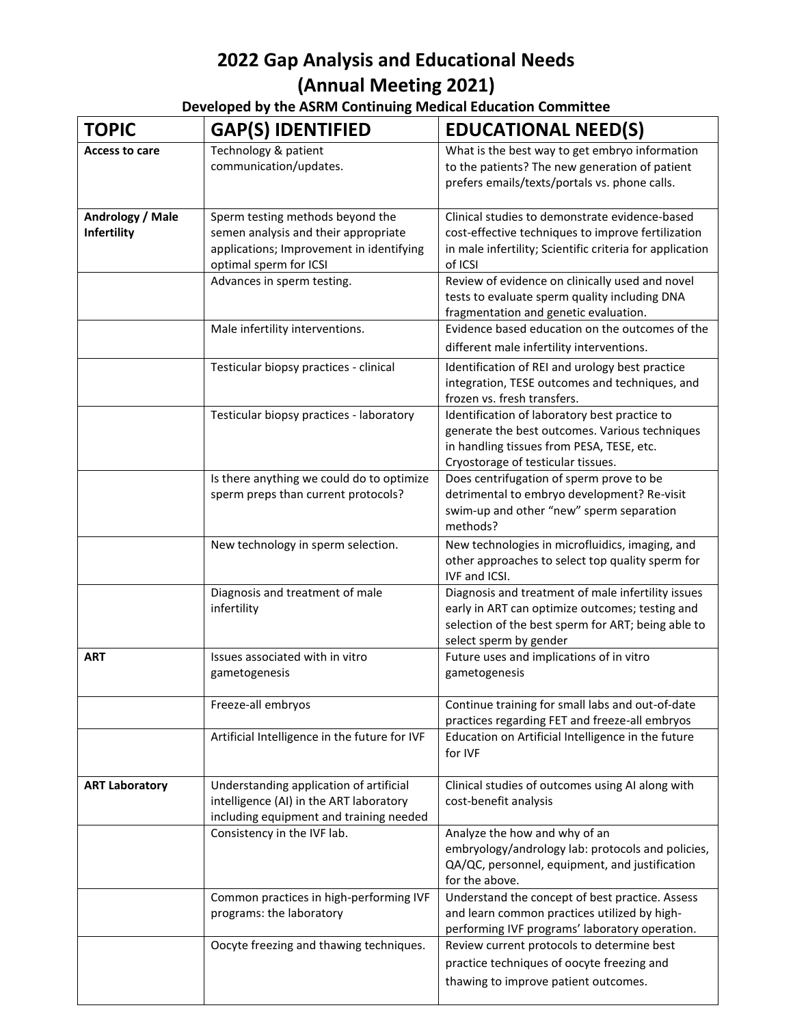| Developed by the ASRM Continuing Medical Education Committee |
|--------------------------------------------------------------|
|--------------------------------------------------------------|

| <b>TOPIC</b>                    | <b>GAP(S) IDENTIFIED</b>                                                                                                                       | <b>EDUCATIONAL NEED(S)</b>                                                                                                                                                            |
|---------------------------------|------------------------------------------------------------------------------------------------------------------------------------------------|---------------------------------------------------------------------------------------------------------------------------------------------------------------------------------------|
| <b>Access to care</b>           | Technology & patient<br>communication/updates.                                                                                                 | What is the best way to get embryo information<br>to the patients? The new generation of patient<br>prefers emails/texts/portals vs. phone calls.                                     |
| Andrology / Male<br>Infertility | Sperm testing methods beyond the<br>semen analysis and their appropriate<br>applications; Improvement in identifying<br>optimal sperm for ICSI | Clinical studies to demonstrate evidence-based<br>cost-effective techniques to improve fertilization<br>in male infertility; Scientific criteria for application<br>of ICSI           |
|                                 | Advances in sperm testing.                                                                                                                     | Review of evidence on clinically used and novel<br>tests to evaluate sperm quality including DNA<br>fragmentation and genetic evaluation.                                             |
|                                 | Male infertility interventions.                                                                                                                | Evidence based education on the outcomes of the<br>different male infertility interventions.                                                                                          |
|                                 | Testicular biopsy practices - clinical                                                                                                         | Identification of REI and urology best practice<br>integration, TESE outcomes and techniques, and<br>frozen vs. fresh transfers.                                                      |
|                                 | Testicular biopsy practices - laboratory                                                                                                       | Identification of laboratory best practice to<br>generate the best outcomes. Various techniques<br>in handling tissues from PESA, TESE, etc.<br>Cryostorage of testicular tissues.    |
|                                 | Is there anything we could do to optimize<br>sperm preps than current protocols?                                                               | Does centrifugation of sperm prove to be<br>detrimental to embryo development? Re-visit<br>swim-up and other "new" sperm separation<br>methods?                                       |
|                                 | New technology in sperm selection.                                                                                                             | New technologies in microfluidics, imaging, and<br>other approaches to select top quality sperm for<br>IVF and ICSI.                                                                  |
|                                 | Diagnosis and treatment of male<br>infertility                                                                                                 | Diagnosis and treatment of male infertility issues<br>early in ART can optimize outcomes; testing and<br>selection of the best sperm for ART; being able to<br>select sperm by gender |
| <b>ART</b>                      | Issues associated with in vitro<br>gametogenesis                                                                                               | Future uses and implications of in vitro<br>gametogenesis                                                                                                                             |
|                                 | Freeze-all embryos                                                                                                                             | Continue training for small labs and out-of-date<br>practices regarding FET and freeze-all embryos                                                                                    |
|                                 | Artificial Intelligence in the future for IVF                                                                                                  | Education on Artificial Intelligence in the future<br>for IVF                                                                                                                         |
| <b>ART Laboratory</b>           | Understanding application of artificial<br>intelligence (AI) in the ART laboratory<br>including equipment and training needed                  | Clinical studies of outcomes using AI along with<br>cost-benefit analysis                                                                                                             |
|                                 | Consistency in the IVF lab.                                                                                                                    | Analyze the how and why of an<br>embryology/andrology lab: protocols and policies,<br>QA/QC, personnel, equipment, and justification<br>for the above.                                |
|                                 | Common practices in high-performing IVF<br>programs: the laboratory                                                                            | Understand the concept of best practice. Assess<br>and learn common practices utilized by high-<br>performing IVF programs' laboratory operation.                                     |
|                                 | Oocyte freezing and thawing techniques.                                                                                                        | Review current protocols to determine best<br>practice techniques of oocyte freezing and<br>thawing to improve patient outcomes.                                                      |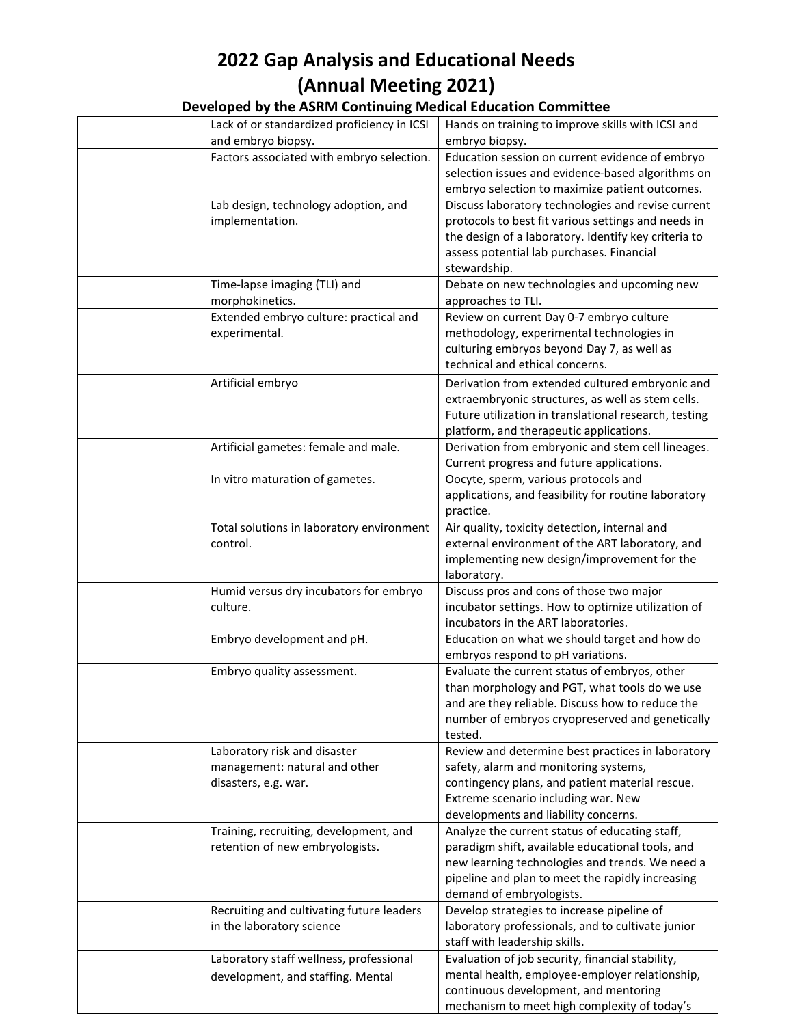| Lack of or standardized proficiency in ICSI     | Hands on training to improve skills with ICSI and                 |
|-------------------------------------------------|-------------------------------------------------------------------|
| and embryo biopsy.                              | embryo biopsy.                                                    |
| Factors associated with embryo selection.       | Education session on current evidence of embryo                   |
|                                                 | selection issues and evidence-based algorithms on                 |
|                                                 | embryo selection to maximize patient outcomes.                    |
| Lab design, technology adoption, and            | Discuss laboratory technologies and revise current                |
| implementation.                                 | protocols to best fit various settings and needs in               |
|                                                 | the design of a laboratory. Identify key criteria to              |
|                                                 | assess potential lab purchases. Financial                         |
|                                                 | stewardship.                                                      |
|                                                 |                                                                   |
| Time-lapse imaging (TLI) and<br>morphokinetics. | Debate on new technologies and upcoming new<br>approaches to TLI. |
| Extended embryo culture: practical and          | Review on current Day 0-7 embryo culture                          |
| experimental.                                   | methodology, experimental technologies in                         |
|                                                 | culturing embryos beyond Day 7, as well as                        |
|                                                 | technical and ethical concerns.                                   |
| Artificial embryo                               | Derivation from extended cultured embryonic and                   |
|                                                 | extraembryonic structures, as well as stem cells.                 |
|                                                 | Future utilization in translational research, testing             |
|                                                 | platform, and therapeutic applications.                           |
| Artificial gametes: female and male.            | Derivation from embryonic and stem cell lineages.                 |
|                                                 |                                                                   |
|                                                 | Current progress and future applications.                         |
| In vitro maturation of gametes.                 | Oocyte, sperm, various protocols and                              |
|                                                 | applications, and feasibility for routine laboratory              |
|                                                 | practice.                                                         |
| Total solutions in laboratory environment       | Air quality, toxicity detection, internal and                     |
| control.                                        | external environment of the ART laboratory, and                   |
|                                                 | implementing new design/improvement for the                       |
|                                                 | laboratory.                                                       |
| Humid versus dry incubators for embryo          | Discuss pros and cons of those two major                          |
| culture.                                        | incubator settings. How to optimize utilization of                |
|                                                 | incubators in the ART laboratories.                               |
| Embryo development and pH.                      | Education on what we should target and how do                     |
|                                                 | embryos respond to pH variations.                                 |
| Embryo quality assessment.                      | Evaluate the current status of embryos, other                     |
|                                                 | than morphology and PGT, what tools do we use                     |
|                                                 | and are they reliable. Discuss how to reduce the                  |
|                                                 | number of embryos cryopreserved and genetically                   |
|                                                 | tested.                                                           |
| Laboratory risk and disaster                    | Review and determine best practices in laboratory                 |
| management: natural and other                   | safety, alarm and monitoring systems,                             |
| disasters, e.g. war.                            | contingency plans, and patient material rescue.                   |
|                                                 | Extreme scenario including war. New                               |
|                                                 | developments and liability concerns.                              |
| Training, recruiting, development, and          | Analyze the current status of educating staff,                    |
| retention of new embryologists.                 | paradigm shift, available educational tools, and                  |
|                                                 | new learning technologies and trends. We need a                   |
|                                                 | pipeline and plan to meet the rapidly increasing                  |
|                                                 | demand of embryologists.                                          |
| Recruiting and cultivating future leaders       | Develop strategies to increase pipeline of                        |
| in the laboratory science                       | laboratory professionals, and to cultivate junior                 |
|                                                 | staff with leadership skills.                                     |
| Laboratory staff wellness, professional         | Evaluation of job security, financial stability,                  |
| development, and staffing. Mental               | mental health, employee-employer relationship,                    |
|                                                 |                                                                   |
|                                                 | continuous development, and mentoring                             |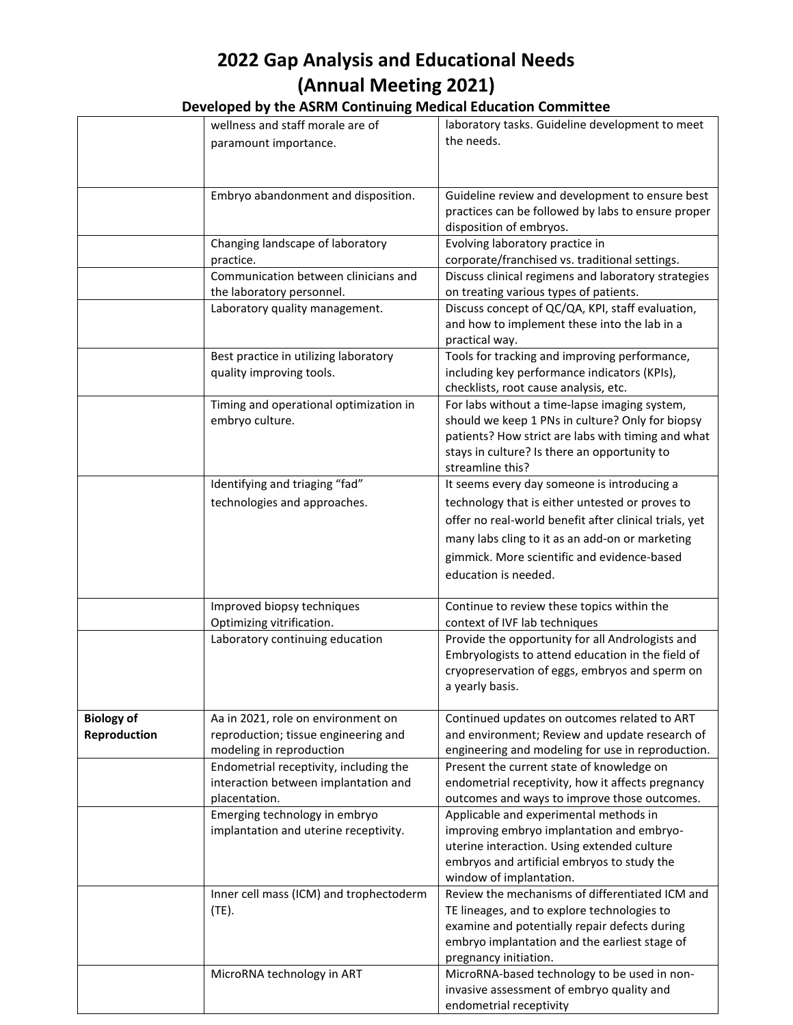|  | Developed by the ASRM Continuing Medical Education Committee |
|--|--------------------------------------------------------------|
|--|--------------------------------------------------------------|

|                   | wellness and staff morale are of        | laboratory tasks. Guideline development to meet        |
|-------------------|-----------------------------------------|--------------------------------------------------------|
|                   | paramount importance.                   | the needs.                                             |
|                   |                                         |                                                        |
|                   |                                         |                                                        |
|                   |                                         |                                                        |
|                   | Embryo abandonment and disposition.     | Guideline review and development to ensure best        |
|                   |                                         | practices can be followed by labs to ensure proper     |
|                   |                                         | disposition of embryos.                                |
|                   | Changing landscape of laboratory        | Evolving laboratory practice in                        |
|                   | practice.                               | corporate/franchised vs. traditional settings.         |
|                   | Communication between clinicians and    | Discuss clinical regimens and laboratory strategies    |
|                   | the laboratory personnel.               | on treating various types of patients.                 |
|                   | Laboratory quality management.          | Discuss concept of QC/QA, KPI, staff evaluation,       |
|                   |                                         | and how to implement these into the lab in a           |
|                   |                                         | practical way.                                         |
|                   | Best practice in utilizing laboratory   | Tools for tracking and improving performance,          |
|                   | quality improving tools.                | including key performance indicators (KPIs),           |
|                   |                                         | checklists, root cause analysis, etc.                  |
|                   | Timing and operational optimization in  | For labs without a time-lapse imaging system,          |
|                   | embryo culture.                         | should we keep 1 PNs in culture? Only for biopsy       |
|                   |                                         | patients? How strict are labs with timing and what     |
|                   |                                         | stays in culture? Is there an opportunity to           |
|                   |                                         | streamline this?                                       |
|                   | Identifying and triaging "fad"          | It seems every day someone is introducing a            |
|                   | technologies and approaches.            | technology that is either untested or proves to        |
|                   |                                         | offer no real-world benefit after clinical trials, yet |
|                   |                                         | many labs cling to it as an add-on or marketing        |
|                   |                                         | gimmick. More scientific and evidence-based            |
|                   |                                         |                                                        |
|                   |                                         | education is needed.                                   |
|                   | Improved biopsy techniques              | Continue to review these topics within the             |
|                   | Optimizing vitrification.               | context of IVF lab techniques                          |
|                   | Laboratory continuing education         | Provide the opportunity for all Andrologists and       |
|                   |                                         | Embryologists to attend education in the field of      |
|                   |                                         | cryopreservation of eggs, embryos and sperm on         |
|                   |                                         | a yearly basis.                                        |
|                   |                                         |                                                        |
| <b>Biology of</b> | Aa in 2021, role on environment on      | Continued updates on outcomes related to ART           |
| Reproduction      | reproduction; tissue engineering and    | and environment; Review and update research of         |
|                   | modeling in reproduction                | engineering and modeling for use in reproduction.      |
|                   | Endometrial receptivity, including the  | Present the current state of knowledge on              |
|                   | interaction between implantation and    | endometrial receptivity, how it affects pregnancy      |
|                   | placentation.                           | outcomes and ways to improve those outcomes.           |
|                   | Emerging technology in embryo           | Applicable and experimental methods in                 |
|                   | implantation and uterine receptivity.   | improving embryo implantation and embryo-              |
|                   |                                         | uterine interaction. Using extended culture            |
|                   |                                         | embryos and artificial embryos to study the            |
|                   |                                         | window of implantation.                                |
|                   | Inner cell mass (ICM) and trophectoderm | Review the mechanisms of differentiated ICM and        |
|                   | (TE).                                   | TE lineages, and to explore technologies to            |
|                   |                                         | examine and potentially repair defects during          |
|                   |                                         | embryo implantation and the earliest stage of          |
|                   |                                         | pregnancy initiation.                                  |
|                   | MicroRNA technology in ART              | MicroRNA-based technology to be used in non-           |
|                   |                                         | invasive assessment of embryo quality and              |
|                   |                                         | endometrial receptivity                                |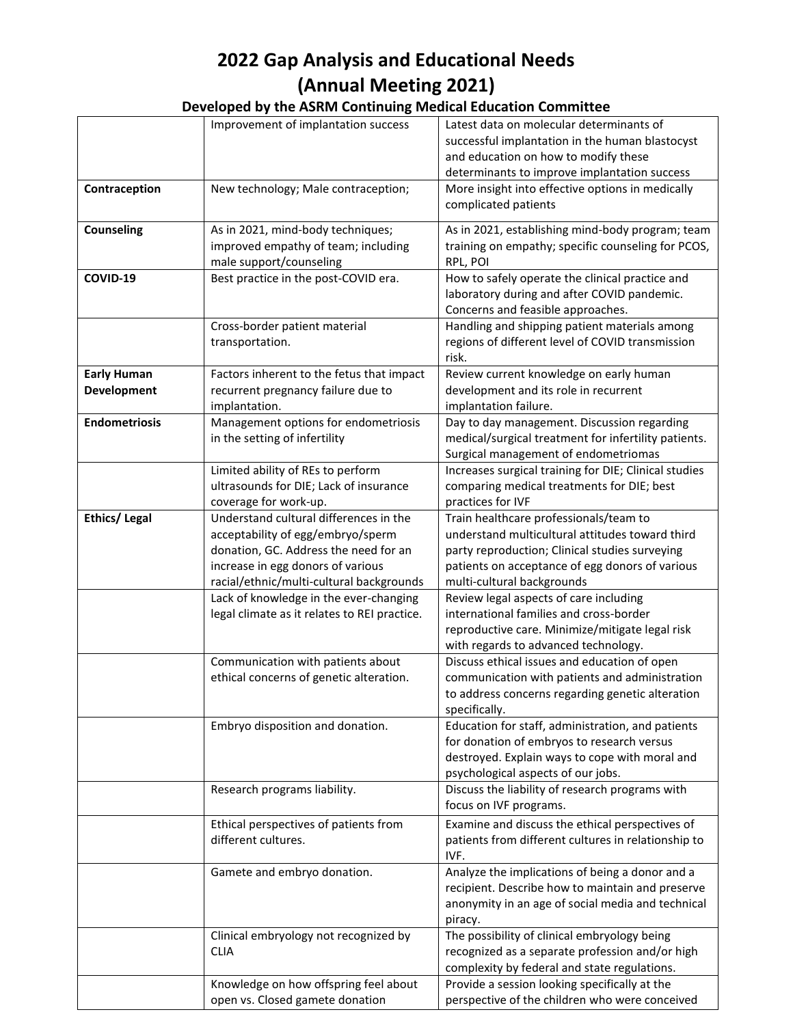|                      | Improvement of implantation success          | Latest data on molecular determinants of              |
|----------------------|----------------------------------------------|-------------------------------------------------------|
|                      |                                              | successful implantation in the human blastocyst       |
|                      |                                              | and education on how to modify these                  |
|                      |                                              | determinants to improve implantation success          |
| Contraception        | New technology; Male contraception;          | More insight into effective options in medically      |
|                      |                                              | complicated patients                                  |
| <b>Counseling</b>    | As in 2021, mind-body techniques;            | As in 2021, establishing mind-body program; team      |
|                      | improved empathy of team; including          | training on empathy; specific counseling for PCOS,    |
|                      | male support/counseling                      | RPL, POI                                              |
| COVID-19             | Best practice in the post-COVID era.         | How to safely operate the clinical practice and       |
|                      |                                              | laboratory during and after COVID pandemic.           |
|                      |                                              | Concerns and feasible approaches.                     |
|                      | Cross-border patient material                | Handling and shipping patient materials among         |
|                      | transportation.                              | regions of different level of COVID transmission      |
|                      |                                              | risk.                                                 |
| <b>Early Human</b>   | Factors inherent to the fetus that impact    | Review current knowledge on early human               |
| <b>Development</b>   | recurrent pregnancy failure due to           | development and its role in recurrent                 |
|                      | implantation.                                | implantation failure.                                 |
| <b>Endometriosis</b> | Management options for endometriosis         | Day to day management. Discussion regarding           |
|                      | in the setting of infertility                | medical/surgical treatment for infertility patients.  |
|                      |                                              | Surgical management of endometriomas                  |
|                      | Limited ability of REs to perform            | Increases surgical training for DIE; Clinical studies |
|                      | ultrasounds for DIE; Lack of insurance       | comparing medical treatments for DIE; best            |
|                      | coverage for work-up.                        | practices for IVF                                     |
| <b>Ethics/Legal</b>  | Understand cultural differences in the       | Train healthcare professionals/team to                |
|                      | acceptability of egg/embryo/sperm            | understand multicultural attitudes toward third       |
|                      | donation, GC. Address the need for an        | party reproduction; Clinical studies surveying        |
|                      | increase in egg donors of various            | patients on acceptance of egg donors of various       |
|                      | racial/ethnic/multi-cultural backgrounds     | multi-cultural backgrounds                            |
|                      | Lack of knowledge in the ever-changing       | Review legal aspects of care including                |
|                      | legal climate as it relates to REI practice. | international families and cross-border               |
|                      |                                              | reproductive care. Minimize/mitigate legal risk       |
|                      |                                              | with regards to advanced technology.                  |
|                      | Communication with patients about            | Discuss ethical issues and education of open          |
|                      | ethical concerns of genetic alteration.      | communication with patients and administration        |
|                      |                                              | to address concerns regarding genetic alteration      |
|                      |                                              | specifically.                                         |
|                      | Embryo disposition and donation.             | Education for staff, administration, and patients     |
|                      |                                              | for donation of embryos to research versus            |
|                      |                                              | destroyed. Explain ways to cope with moral and        |
|                      |                                              | psychological aspects of our jobs.                    |
|                      | Research programs liability.                 | Discuss the liability of research programs with       |
|                      |                                              | focus on IVF programs.                                |
|                      | Ethical perspectives of patients from        | Examine and discuss the ethical perspectives of       |
|                      | different cultures.                          | patients from different cultures in relationship to   |
|                      |                                              | IVF.                                                  |
|                      | Gamete and embryo donation.                  | Analyze the implications of being a donor and a       |
|                      |                                              | recipient. Describe how to maintain and preserve      |
|                      |                                              | anonymity in an age of social media and technical     |
|                      |                                              | piracy.                                               |
|                      | Clinical embryology not recognized by        | The possibility of clinical embryology being          |
|                      | <b>CLIA</b>                                  | recognized as a separate profession and/or high       |
|                      |                                              | complexity by federal and state regulations.          |
|                      | Knowledge on how offspring feel about        | Provide a session looking specifically at the         |
|                      | open vs. Closed gamete donation              | perspective of the children who were conceived        |
|                      |                                              |                                                       |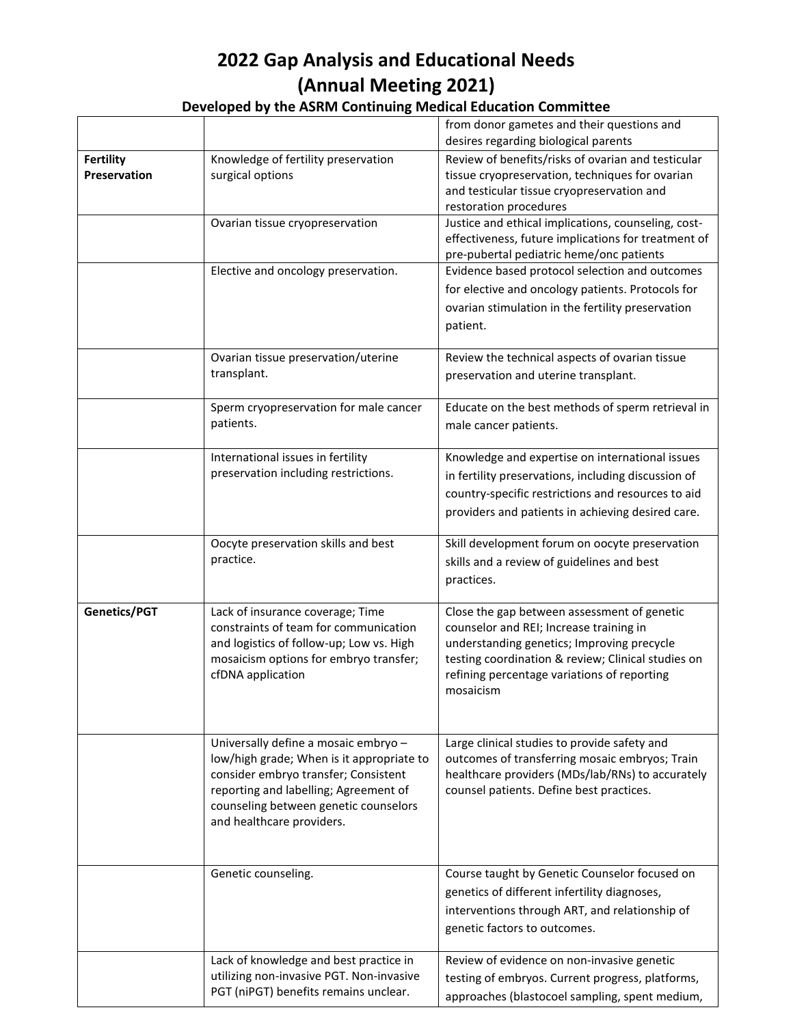|                                  |                                                                                                                                                                                                                                          | from donor gametes and their questions and                                                                                                                                                                                                             |
|----------------------------------|------------------------------------------------------------------------------------------------------------------------------------------------------------------------------------------------------------------------------------------|--------------------------------------------------------------------------------------------------------------------------------------------------------------------------------------------------------------------------------------------------------|
|                                  |                                                                                                                                                                                                                                          | desires regarding biological parents                                                                                                                                                                                                                   |
| <b>Fertility</b><br>Preservation | Knowledge of fertility preservation<br>surgical options                                                                                                                                                                                  | Review of benefits/risks of ovarian and testicular<br>tissue cryopreservation, techniques for ovarian<br>and testicular tissue cryopreservation and<br>restoration procedures                                                                          |
|                                  | Ovarian tissue cryopreservation                                                                                                                                                                                                          | Justice and ethical implications, counseling, cost-<br>effectiveness, future implications for treatment of<br>pre-pubertal pediatric heme/onc patients                                                                                                 |
|                                  | Elective and oncology preservation.                                                                                                                                                                                                      | Evidence based protocol selection and outcomes<br>for elective and oncology patients. Protocols for<br>ovarian stimulation in the fertility preservation<br>patient.                                                                                   |
|                                  | Ovarian tissue preservation/uterine<br>transplant.                                                                                                                                                                                       | Review the technical aspects of ovarian tissue<br>preservation and uterine transplant.                                                                                                                                                                 |
|                                  | Sperm cryopreservation for male cancer<br>patients.                                                                                                                                                                                      | Educate on the best methods of sperm retrieval in<br>male cancer patients.                                                                                                                                                                             |
|                                  | International issues in fertility<br>preservation including restrictions.                                                                                                                                                                | Knowledge and expertise on international issues<br>in fertility preservations, including discussion of<br>country-specific restrictions and resources to aid<br>providers and patients in achieving desired care.                                      |
|                                  | Oocyte preservation skills and best<br>practice.                                                                                                                                                                                         | Skill development forum on oocyte preservation<br>skills and a review of guidelines and best<br>practices.                                                                                                                                             |
| Genetics/PGT                     | Lack of insurance coverage; Time<br>constraints of team for communication<br>and logistics of follow-up; Low vs. High<br>mosaicism options for embryo transfer;<br>cfDNA application                                                     | Close the gap between assessment of genetic<br>counselor and REI; Increase training in<br>understanding genetics; Improving precycle<br>testing coordination & review; Clinical studies on<br>refining percentage variations of reporting<br>mosaicism |
|                                  | Universally define a mosaic embryo -<br>low/high grade; When is it appropriate to<br>consider embryo transfer; Consistent<br>reporting and labelling; Agreement of<br>counseling between genetic counselors<br>and healthcare providers. | Large clinical studies to provide safety and<br>outcomes of transferring mosaic embryos; Train<br>healthcare providers (MDs/lab/RNs) to accurately<br>counsel patients. Define best practices.                                                         |
|                                  | Genetic counseling.                                                                                                                                                                                                                      | Course taught by Genetic Counselor focused on<br>genetics of different infertility diagnoses,<br>interventions through ART, and relationship of<br>genetic factors to outcomes.                                                                        |
|                                  | Lack of knowledge and best practice in<br>utilizing non-invasive PGT. Non-invasive<br>PGT (niPGT) benefits remains unclear.                                                                                                              | Review of evidence on non-invasive genetic<br>testing of embryos. Current progress, platforms,<br>approaches (blastocoel sampling, spent medium,                                                                                                       |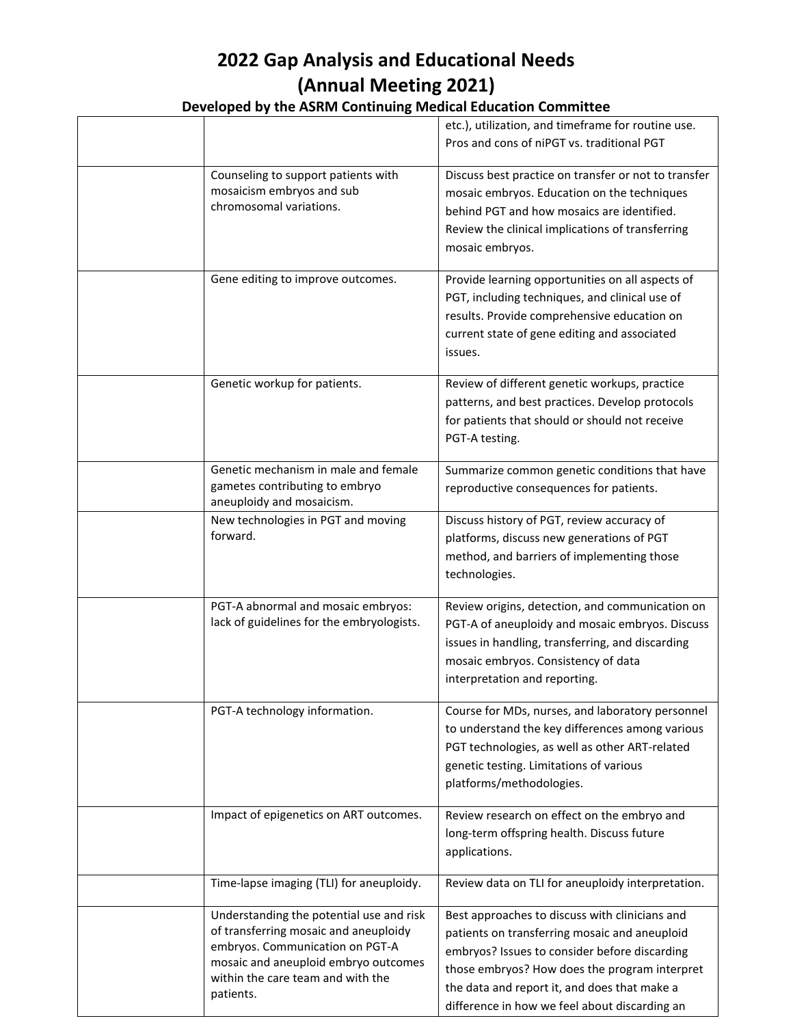|                                                                                                                                                                                                                | etc.), utilization, and timeframe for routine use.<br>Pros and cons of niPGT vs. traditional PGT                                                                                                                                                                                                   |
|----------------------------------------------------------------------------------------------------------------------------------------------------------------------------------------------------------------|----------------------------------------------------------------------------------------------------------------------------------------------------------------------------------------------------------------------------------------------------------------------------------------------------|
| Counseling to support patients with<br>mosaicism embryos and sub<br>chromosomal variations.                                                                                                                    | Discuss best practice on transfer or not to transfer<br>mosaic embryos. Education on the techniques<br>behind PGT and how mosaics are identified.<br>Review the clinical implications of transferring<br>mosaic embryos.                                                                           |
| Gene editing to improve outcomes.                                                                                                                                                                              | Provide learning opportunities on all aspects of<br>PGT, including techniques, and clinical use of<br>results. Provide comprehensive education on<br>current state of gene editing and associated<br>issues.                                                                                       |
| Genetic workup for patients.                                                                                                                                                                                   | Review of different genetic workups, practice<br>patterns, and best practices. Develop protocols<br>for patients that should or should not receive<br>PGT-A testing.                                                                                                                               |
| Genetic mechanism in male and female<br>gametes contributing to embryo<br>aneuploidy and mosaicism.                                                                                                            | Summarize common genetic conditions that have<br>reproductive consequences for patients.                                                                                                                                                                                                           |
| New technologies in PGT and moving<br>forward.                                                                                                                                                                 | Discuss history of PGT, review accuracy of<br>platforms, discuss new generations of PGT<br>method, and barriers of implementing those<br>technologies.                                                                                                                                             |
| PGT-A abnormal and mosaic embryos:<br>lack of guidelines for the embryologists.                                                                                                                                | Review origins, detection, and communication on<br>PGT-A of aneuploidy and mosaic embryos. Discuss<br>issues in handling, transferring, and discarding<br>mosaic embryos. Consistency of data<br>interpretation and reporting.                                                                     |
| PGT-A technology information.                                                                                                                                                                                  | Course for MDs, nurses, and laboratory personnel<br>to understand the key differences among various<br>PGT technologies, as well as other ART-related<br>genetic testing. Limitations of various<br>platforms/methodologies.                                                                       |
| Impact of epigenetics on ART outcomes.                                                                                                                                                                         | Review research on effect on the embryo and<br>long-term offspring health. Discuss future<br>applications.                                                                                                                                                                                         |
| Time-lapse imaging (TLI) for aneuploidy.                                                                                                                                                                       | Review data on TLI for aneuploidy interpretation.                                                                                                                                                                                                                                                  |
| Understanding the potential use and risk<br>of transferring mosaic and aneuploidy<br>embryos. Communication on PGT-A<br>mosaic and aneuploid embryo outcomes<br>within the care team and with the<br>patients. | Best approaches to discuss with clinicians and<br>patients on transferring mosaic and aneuploid<br>embryos? Issues to consider before discarding<br>those embryos? How does the program interpret<br>the data and report it, and does that make a<br>difference in how we feel about discarding an |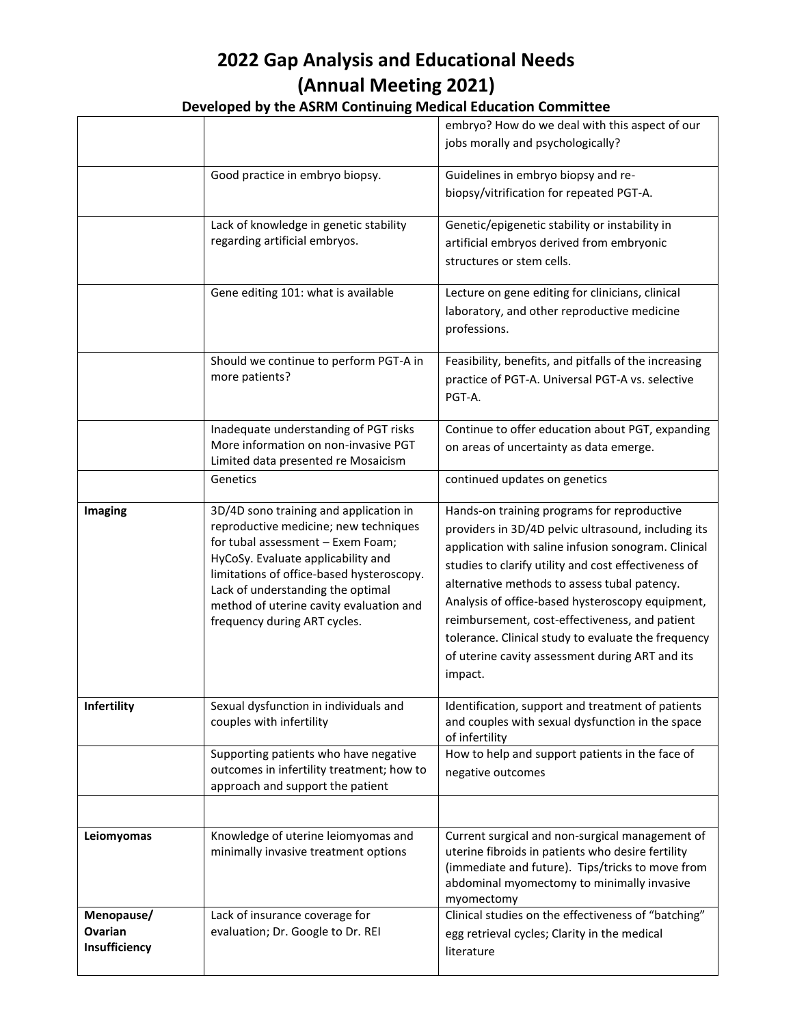|               |                                                                                    | embryo? How do we deal with this aspect of our           |
|---------------|------------------------------------------------------------------------------------|----------------------------------------------------------|
|               |                                                                                    | jobs morally and psychologically?                        |
|               | Good practice in embryo biopsy.                                                    | Guidelines in embryo biopsy and re-                      |
|               |                                                                                    | biopsy/vitrification for repeated PGT-A.                 |
|               |                                                                                    |                                                          |
|               | Lack of knowledge in genetic stability                                             | Genetic/epigenetic stability or instability in           |
|               | regarding artificial embryos.                                                      | artificial embryos derived from embryonic                |
|               |                                                                                    | structures or stem cells.                                |
|               | Gene editing 101: what is available                                                | Lecture on gene editing for clinicians, clinical         |
|               |                                                                                    | laboratory, and other reproductive medicine              |
|               |                                                                                    | professions.                                             |
|               | Should we continue to perform PGT-A in                                             | Feasibility, benefits, and pitfalls of the increasing    |
|               | more patients?                                                                     | practice of PGT-A. Universal PGT-A vs. selective         |
|               |                                                                                    | PGT-A.                                                   |
|               | Inadequate understanding of PGT risks                                              | Continue to offer education about PGT, expanding         |
|               | More information on non-invasive PGT<br>Limited data presented re Mosaicism        | on areas of uncertainty as data emerge.                  |
|               | Genetics                                                                           | continued updates on genetics                            |
| Imaging       | 3D/4D sono training and application in                                             | Hands-on training programs for reproductive              |
|               | reproductive medicine; new techniques                                              | providers in 3D/4D pelvic ultrasound, including its      |
|               | for tubal assessment - Exem Foam;<br>HyCoSy. Evaluate applicability and            | application with saline infusion sonogram. Clinical      |
|               | limitations of office-based hysteroscopy.                                          | studies to clarify utility and cost effectiveness of     |
|               | Lack of understanding the optimal                                                  | alternative methods to assess tubal patency.             |
|               | method of uterine cavity evaluation and                                            | Analysis of office-based hysteroscopy equipment,         |
|               | frequency during ART cycles.                                                       | reimbursement, cost-effectiveness, and patient           |
|               |                                                                                    | tolerance. Clinical study to evaluate the frequency      |
|               |                                                                                    | of uterine cavity assessment during ART and its          |
|               |                                                                                    | impact.                                                  |
| Infertility   | Sexual dysfunction in individuals and                                              | Identification, support and treatment of patients        |
|               | couples with infertility                                                           | and couples with sexual dysfunction in the space         |
|               |                                                                                    | of infertility                                           |
|               | Supporting patients who have negative<br>outcomes in infertility treatment; how to | How to help and support patients in the face of          |
|               | approach and support the patient                                                   | negative outcomes                                        |
|               |                                                                                    |                                                          |
| Leiomyomas    | Knowledge of uterine leiomyomas and                                                | Current surgical and non-surgical management of          |
|               | minimally invasive treatment options                                               | uterine fibroids in patients who desire fertility        |
|               |                                                                                    | (immediate and future). Tips/tricks to move from         |
|               |                                                                                    | abdominal myomectomy to minimally invasive<br>myomectomy |
| Menopause/    | Lack of insurance coverage for                                                     | Clinical studies on the effectiveness of "batching"      |
| Ovarian       | evaluation; Dr. Google to Dr. REI                                                  | egg retrieval cycles; Clarity in the medical             |
| Insufficiency |                                                                                    | literature                                               |
|               |                                                                                    |                                                          |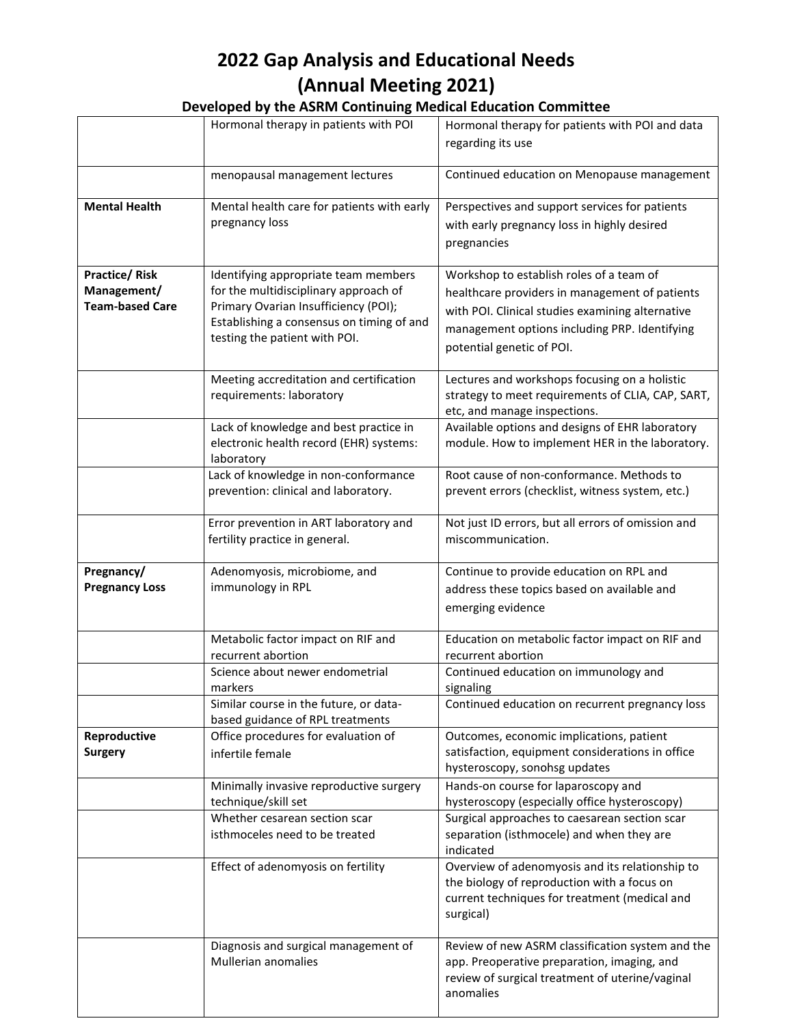|                                                               | Hormonal therapy in patients with POI                                                                                                                                                               | Hormonal therapy for patients with POI and data<br>regarding its use                                                                                                                                                         |
|---------------------------------------------------------------|-----------------------------------------------------------------------------------------------------------------------------------------------------------------------------------------------------|------------------------------------------------------------------------------------------------------------------------------------------------------------------------------------------------------------------------------|
|                                                               | menopausal management lectures                                                                                                                                                                      | Continued education on Menopause management                                                                                                                                                                                  |
| <b>Mental Health</b>                                          | Mental health care for patients with early<br>pregnancy loss                                                                                                                                        | Perspectives and support services for patients<br>with early pregnancy loss in highly desired<br>pregnancies                                                                                                                 |
| <b>Practice/Risk</b><br>Management/<br><b>Team-based Care</b> | Identifying appropriate team members<br>for the multidisciplinary approach of<br>Primary Ovarian Insufficiency (POI);<br>Establishing a consensus on timing of and<br>testing the patient with POI. | Workshop to establish roles of a team of<br>healthcare providers in management of patients<br>with POI. Clinical studies examining alternative<br>management options including PRP. Identifying<br>potential genetic of POI. |
|                                                               | Meeting accreditation and certification<br>requirements: laboratory                                                                                                                                 | Lectures and workshops focusing on a holistic<br>strategy to meet requirements of CLIA, CAP, SART,<br>etc, and manage inspections.                                                                                           |
|                                                               | Lack of knowledge and best practice in<br>electronic health record (EHR) systems:<br>laboratory                                                                                                     | Available options and designs of EHR laboratory<br>module. How to implement HER in the laboratory.                                                                                                                           |
|                                                               | Lack of knowledge in non-conformance<br>prevention: clinical and laboratory.                                                                                                                        | Root cause of non-conformance. Methods to<br>prevent errors (checklist, witness system, etc.)                                                                                                                                |
|                                                               | Error prevention in ART laboratory and<br>fertility practice in general.                                                                                                                            | Not just ID errors, but all errors of omission and<br>miscommunication.                                                                                                                                                      |
| Pregnancy/<br><b>Pregnancy Loss</b>                           | Adenomyosis, microbiome, and<br>immunology in RPL                                                                                                                                                   | Continue to provide education on RPL and<br>address these topics based on available and<br>emerging evidence                                                                                                                 |
|                                                               | Metabolic factor impact on RIF and<br>recurrent abortion                                                                                                                                            | Education on metabolic factor impact on RIF and<br>recurrent abortion                                                                                                                                                        |
|                                                               | Science about newer endometrial<br>markers                                                                                                                                                          | Continued education on immunology and<br>signaling                                                                                                                                                                           |
|                                                               | Similar course in the future, or data-<br>based guidance of RPL treatments                                                                                                                          | Continued education on recurrent pregnancy loss                                                                                                                                                                              |
| Reproductive<br><b>Surgery</b>                                | Office procedures for evaluation of<br>infertile female                                                                                                                                             | Outcomes, economic implications, patient<br>satisfaction, equipment considerations in office<br>hysteroscopy, sonohsg updates                                                                                                |
|                                                               | Minimally invasive reproductive surgery<br>technique/skill set                                                                                                                                      | Hands-on course for laparoscopy and<br>hysteroscopy (especially office hysteroscopy)                                                                                                                                         |
|                                                               | Whether cesarean section scar<br>isthmoceles need to be treated                                                                                                                                     | Surgical approaches to caesarean section scar<br>separation (isthmocele) and when they are<br>indicated                                                                                                                      |
|                                                               | Effect of adenomyosis on fertility                                                                                                                                                                  | Overview of adenomyosis and its relationship to<br>the biology of reproduction with a focus on<br>current techniques for treatment (medical and<br>surgical)                                                                 |
|                                                               | Diagnosis and surgical management of<br>Mullerian anomalies                                                                                                                                         | Review of new ASRM classification system and the<br>app. Preoperative preparation, imaging, and<br>review of surgical treatment of uterine/vaginal<br>anomalies                                                              |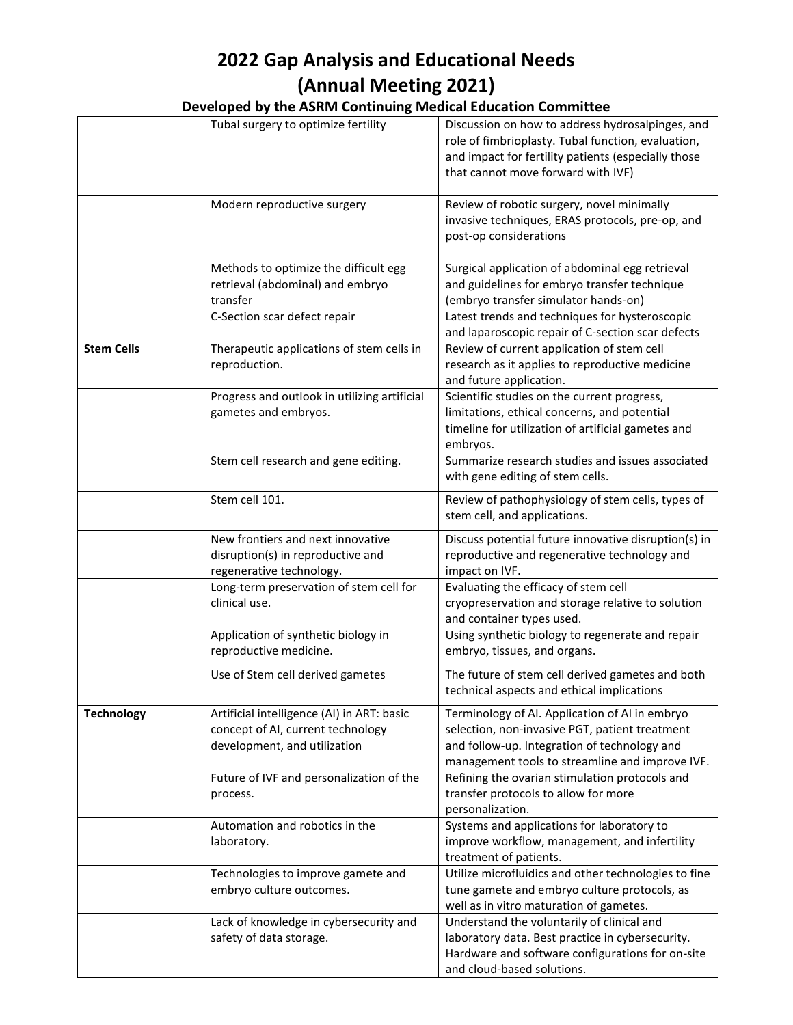| Developed by the ASRM Continuing Medical Education Committee |  |
|--------------------------------------------------------------|--|
|--------------------------------------------------------------|--|

|                   | Tubal surgery to optimize fertility                                                                                   | Discussion on how to address hydrosalpinges, and<br>role of fimbrioplasty. Tubal function, evaluation,<br>and impact for fertility patients (especially those<br>that cannot move forward with IVF) |
|-------------------|-----------------------------------------------------------------------------------------------------------------------|-----------------------------------------------------------------------------------------------------------------------------------------------------------------------------------------------------|
|                   | Modern reproductive surgery                                                                                           | Review of robotic surgery, novel minimally<br>invasive techniques, ERAS protocols, pre-op, and<br>post-op considerations                                                                            |
|                   | Methods to optimize the difficult egg<br>retrieval (abdominal) and embryo<br>transfer<br>C-Section scar defect repair | Surgical application of abdominal egg retrieval<br>and guidelines for embryo transfer technique<br>(embryo transfer simulator hands-on)<br>Latest trends and techniques for hysteroscopic           |
| <b>Stem Cells</b> | Therapeutic applications of stem cells in<br>reproduction.                                                            | and laparoscopic repair of C-section scar defects<br>Review of current application of stem cell<br>research as it applies to reproductive medicine<br>and future application.                       |
|                   | Progress and outlook in utilizing artificial<br>gametes and embryos.                                                  | Scientific studies on the current progress,<br>limitations, ethical concerns, and potential<br>timeline for utilization of artificial gametes and<br>embryos.                                       |
|                   | Stem cell research and gene editing.                                                                                  | Summarize research studies and issues associated<br>with gene editing of stem cells.                                                                                                                |
|                   | Stem cell 101.                                                                                                        | Review of pathophysiology of stem cells, types of<br>stem cell, and applications.                                                                                                                   |
|                   | New frontiers and next innovative<br>disruption(s) in reproductive and<br>regenerative technology.                    | Discuss potential future innovative disruption(s) in<br>reproductive and regenerative technology and<br>impact on IVF.                                                                              |
|                   | Long-term preservation of stem cell for<br>clinical use.                                                              | Evaluating the efficacy of stem cell<br>cryopreservation and storage relative to solution<br>and container types used.                                                                              |
|                   | Application of synthetic biology in<br>reproductive medicine.                                                         | Using synthetic biology to regenerate and repair<br>embryo, tissues, and organs.                                                                                                                    |
|                   | Use of Stem cell derived gametes                                                                                      | The future of stem cell derived gametes and both<br>technical aspects and ethical implications                                                                                                      |
| <b>Technology</b> | Artificial intelligence (AI) in ART: basic<br>concept of AI, current technology<br>development, and utilization       | Terminology of AI. Application of AI in embryo<br>selection, non-invasive PGT, patient treatment<br>and follow-up. Integration of technology and<br>management tools to streamline and improve IVF. |
|                   | Future of IVF and personalization of the<br>process.                                                                  | Refining the ovarian stimulation protocols and<br>transfer protocols to allow for more<br>personalization.                                                                                          |
|                   | Automation and robotics in the<br>laboratory.                                                                         | Systems and applications for laboratory to<br>improve workflow, management, and infertility<br>treatment of patients.                                                                               |
|                   | Technologies to improve gamete and<br>embryo culture outcomes.                                                        | Utilize microfluidics and other technologies to fine<br>tune gamete and embryo culture protocols, as<br>well as in vitro maturation of gametes.                                                     |
|                   | Lack of knowledge in cybersecurity and<br>safety of data storage.                                                     | Understand the voluntarily of clinical and<br>laboratory data. Best practice in cybersecurity.<br>Hardware and software configurations for on-site<br>and cloud-based solutions.                    |